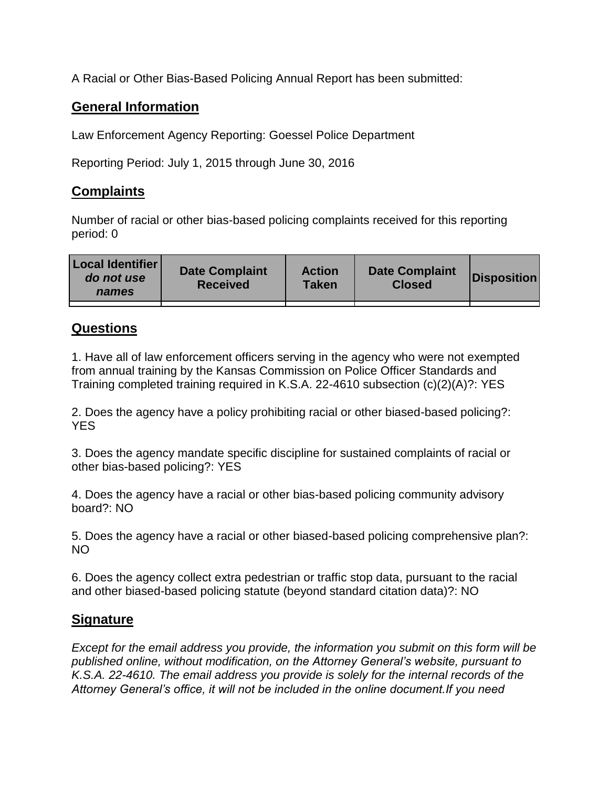A Racial or Other Bias-Based Policing Annual Report has been submitted:

## **General Information**

Law Enforcement Agency Reporting: Goessel Police Department

Reporting Period: July 1, 2015 through June 30, 2016

## **Complaints**

Number of racial or other bias-based policing complaints received for this reporting period: 0

| <b>Local Identifier</b><br>do not use<br>names | <b>Date Complaint</b><br><b>Received</b> | <b>Action</b><br><b>Taken</b> | <b>Date Complaint</b><br><b>Closed</b> | Disposition |
|------------------------------------------------|------------------------------------------|-------------------------------|----------------------------------------|-------------|
|                                                |                                          |                               |                                        |             |

## **Questions**

1. Have all of law enforcement officers serving in the agency who were not exempted from annual training by the Kansas Commission on Police Officer Standards and Training completed training required in K.S.A. 22-4610 subsection (c)(2)(A)?: YES

2. Does the agency have a policy prohibiting racial or other biased-based policing?: YES

3. Does the agency mandate specific discipline for sustained complaints of racial or other bias-based policing?: YES

4. Does the agency have a racial or other bias-based policing community advisory board?: NO

5. Does the agency have a racial or other biased-based policing comprehensive plan?: NO

6. Does the agency collect extra pedestrian or traffic stop data, pursuant to the racial and other biased-based policing statute (beyond standard citation data)?: NO

## **Signature**

*Except for the email address you provide, the information you submit on this form will be published online, without modification, on the Attorney General's website, pursuant to K.S.A. 22-4610. The email address you provide is solely for the internal records of the Attorney General's office, it will not be included in the online document.If you need*